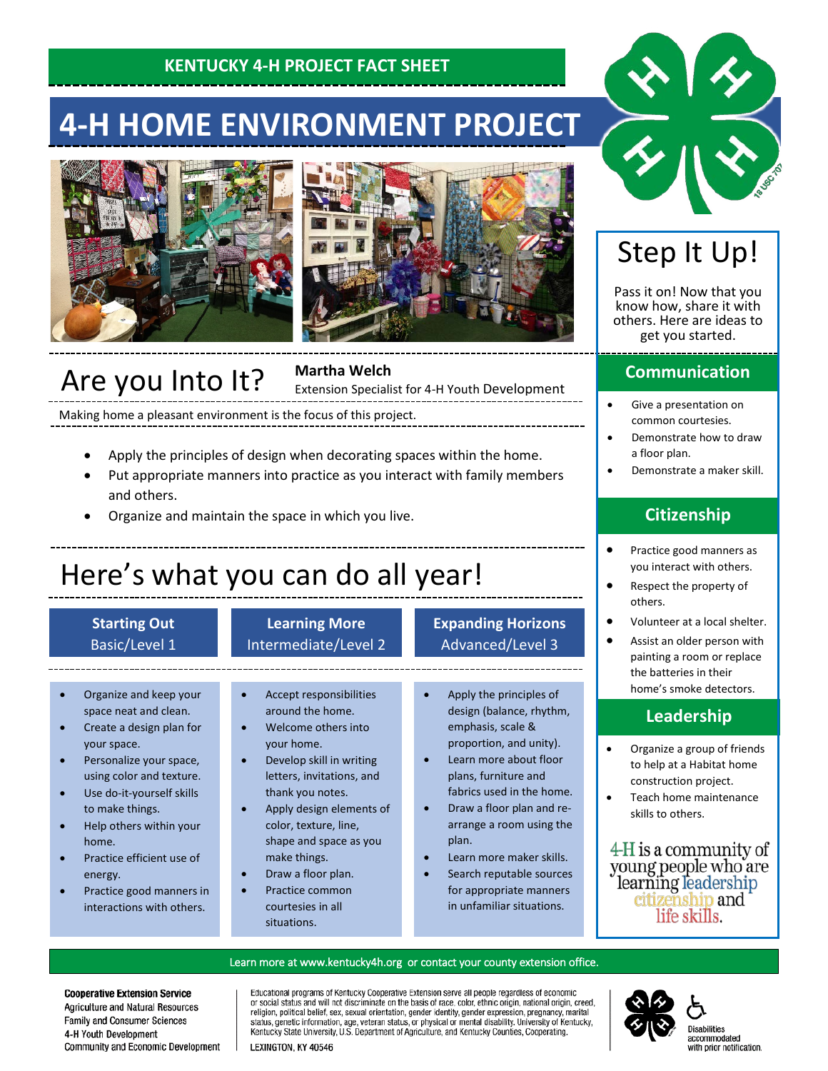### **KENTUCKY 4-H PROJECT FACT SHEET**

# **4-H HOME ENVIRONMENT PROJECT**





# Are you Into It?

**Martha Welch**

Extension Specialist for 4-H Youth Development

Making home a pleasant environment is the focus of this project.

- Apply the principles of design when decorating spaces within the home.
- Put appropriate manners into practice as you interact with family members and others.
- Organize and maintain the space in which you live.

# Here's what you can do all year!

#### **Starting Out** Basic/Level 1

#### **Learning More** Intermediate/Level 2

#### • Organize and keep your space neat and clean.

- Create a design plan for your space.
- Personalize your space, using color and texture.
- Use do-it-yourself skills to make things.
- Help others within your home.
- Practice efficient use of energy.
- Practice good manners in interactions with others.

#### • Accept responsibilities around the home.

- Welcome others into your home.
- Develop skill in writing letters, invitations, and thank you notes.
- Apply design elements of color, texture, line, shape and space as you make things.
- Draw a floor plan.
- Practice common courtesies in all situations.

### **Expanding Horizons** Advanced/Level 3

- Apply the principles of design (balance, rhythm, emphasis, scale & proportion, and unity).
- Learn more about floor plans, furniture and fabrics used in the home.
- Draw a floor plan and rearrange a room using the plan.
- Learn more maker skills.
- Search reputable sources for appropriate manners in unfamiliar situations.

# Step It Up!

Pass it on! Now that you know how, share it with others. Here are ideas to get you started.

### **Communication**

- Give a presentation on common courtesies.
- Demonstrate how to draw a floor plan.
- Demonstrate a maker skill.

### **Citizenship**

- Practice good manners as you interact with others.
- Respect the property of others.
- Volunteer at a local shelter.
- Assist an older person with painting a room or replace the batteries in their home's smoke detectors.

### **Leadership**

- Organize a group of friends to help at a Habitat home construction project.
- Teach home maintenance skills to others.

4-H is a community of young people who are learning leadership<br>citizenship and life skills.

#### Learn more at [www.kentucky4h.org](http://www.kentucky4h.org/) or contact your county extension office.

**Cooperative Extension Service** Agriculture and Natural Resources Family and Consumer Sciences 4-H Youth Development Community and Economic Development Educational programs of Kentucky Cooperative Extension serve all people regardless of economic procedul status and will not discriminate on the basis of race, color, ethnic origin, national origin, creed, religion, political belief, sex, sexual orientation, gender identity, gender expression, pregnancy, marital stat Kentucky State University, U.S. Department of Agriculture, and Kentucky Counties, Cooperating.